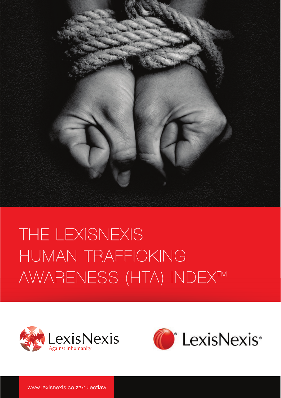

# THE LEXISNEXIS HUMAN TRAFFICKING AWARENESS (HTA) INDEX™



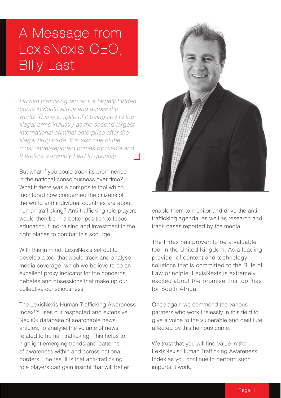### A Message from LexisNexis CEO, Billy Last

Human trafficking remains a largely hidden crime in South Africa and across the world. This is in spite of it being tied to the illegal arms industry as the second largest international criminal enterprise after the illegal drug trade. It is also one of the most under-reported crimes by media and therefore extremely hard to quantify.

But what if you could track its prominence in the national consciousness over time? What if there was a composite tool which monitored how concerned the citizens of the world and individual countries are about human trafficking? Anti-trafficking role players would then be in a better position to focus education, fund-raising and investment in the right places to combat this scourge.

With this in mind, LexisNexis set out to develop a tool that would track and analyse media coverage, which we believe to be an excellent proxy indicator for the concerns, debates and obsessions that make up our collective consciousness.

The LexisNexis Human Trafficking Awareness Index™ uses our respected and extensive Nexis® database of searchable news articles, to analyse the volume of news related to human trafficking. This helps to highlight emerging trends and patterns of awareness within and across national borders. The result is that anti-trafficking role players can gain insight that will better



enable them to monitor and drive the antitrafficking agenda, as well as research and track cases reported by the media.

The Index has proven to be a valuable tool in the United Kingdom. As a leading provider of content and technology solutions that is committed to the Rule of Law principle, LexisNexis is extremely excited about the promise this tool has for South Africa.

Once again we commend the various partners who work tirelessly in this field to give a voice to the vulnerable and destitute affected by this heinous crime.

We trust that you will find value in the LexisNexis Human Trafficking Awareness Index as you continue to perform such important work.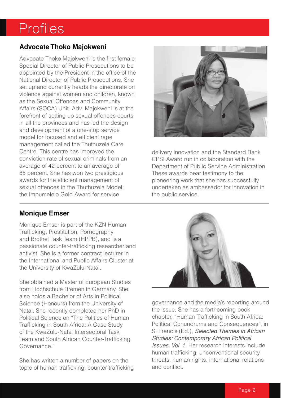### Profiles

#### **Advocate Thoko Majokweni**

Advocate Thoko Majokweni is the first female Special Director of Public Prosecutions to be appointed by the President in the office of the National Director of Public Prosecutions. She set up and currently heads the directorate on violence against women and children, known as the Sexual Offences and Community Affairs (SOCA) Unit. Adv. Majokweni is at the forefront of setting up sexual offences courts in all the provinces and has led the design and development of a one-stop service model for focused and efficient rape management called the Thuthuzela Care Centre. This centre has improved the conviction rate of sexual criminals from an average of 42 percent to an average of 85 percent. She has won two prestigious awards for the efficient management of sexual offences in the Thuthuzela Model; the Impumelelo Gold Award for service

#### **Monique Emser**

Monique Emser is part of the KZN Human Trafficking, Prostitution, Pornography and Brothel Task Team (HPPB), and is a passionate counter-trafficking researcher and activist. She is a former contract lecturer in the International and Public Affairs Cluster at the University of KwaZulu-Natal.

She obtained a Master of European Studies from Hochschule Bremen in Germany. She also holds a Bachelor of Arts in Political Science (Honours) from the University of Natal. She recently completed her PhD in Political Science on "The Politics of Human Trafficking in South Africa: A Case Study of the KwaZulu-Natal Intersectoral Task Team and South African Counter-Trafficking Governance."

She has written a number of papers on the topic of human trafficking, counter-trafficking



delivery innovation and the Standard Bank CPSI Award run in collaboration with the Department of Public Service Administration. These awards bear testimony to the pioneering work that she has successfully undertaken as ambassador for innovation in the public service.



governance and the media's reporting around the issue. She has a forthcoming book chapter, "Human Trafficking in South Africa: Political Conundrums and Consequences", in S. Francis (Ed.), Selected Themes in African Studies: Contemporary African Political Issues, Vol. 1. Her research interests include human trafficking, unconventional security threats, human rights, international relations and conflict.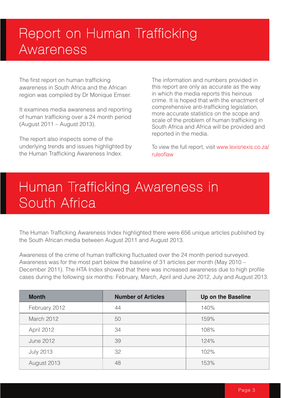## Report on Human Trafficking Awareness

The first report on human trafficking awareness in South Africa and the African region was compiled by Dr Monique Emser.

It examines media awareness and reporting of human trafficking over a 24 month period (August 2011 – August 2013).

The report also inspects some of the underlying trends and issues highlighted by the Human Trafficking Awareness Index.

The information and numbers provided in this report are only as accurate as the way in which the media reports this heinous crime. It is hoped that with the enactment of comprehensive anti-trafficking legislation, more accurate statistics on the scope and scale of the problem of human trafficking in South Africa and Africa will be provided and reported in the media.

To view the full report, visit www.lexisnexis.co.za/ ruleoflaw

### Human Trafficking Awareness in South Africa

The Human Trafficking Awareness Index highlighted there were 656 unique articles published by the South African media between August 2011 and August 2013.

Awareness of the crime of human trafficking fluctuated over the 24 month period surveyed. Awareness was for the most part below the baseline of 31 articles per month (May 2010 – December 2011). The HTA Index showed that there was increased awareness due to high profile cases during the following six months: February, March, April and June 2012, July and August 2013.

| <b>Month</b>     | <b>Number of Articles</b> | Up on the Baseline |
|------------------|---------------------------|--------------------|
| February 2012    | 44                        | 140%               |
| March 2012       | 50                        | 159%               |
| April 2012       | 34                        | 108%               |
| <b>June 2012</b> | 39                        | 124%               |
| <b>July 2013</b> | 32                        | 102%               |
| August 2013      | 48                        | 153%               |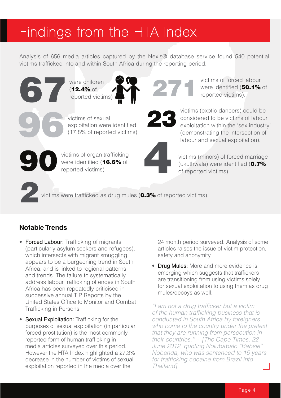### Findings from the HTA Index

Analysis of 656 media articles captured by the Nexis® database service found 540 potential victims trafficked into and within South Africa during the reporting period.



#### **Notable Trends**

- Forced Labour: Trafficking of migrants (particularly asylum seekers and refugees), which intersects with migrant smuggling, appears to be a burgeoning trend in South Africa, and is linked to regional patterns and trends. The failure to systematically address labour trafficking offences in South Africa has been repeatedly criticised in successive annual TIP Reports by the United States Office to Monitor and Combat Trafficking in Persons.
- Sexual Exploitation: Trafficking for the purposes of sexual exploitation (in particular forced prostitution) is the most commonly reported form of human trafficking in media articles surveyed over this period. However the HTA Index highlighted a 27.3% decrease in the number of victims of sexual exploitation reported in the media over the

24 month period surveyed. Analysis of some articles raises the issue of victim protection, safety and anonymity.

victims of forced labour were identified (50.1% of

reported victims).

- Drug Mules: More and more evidence is emerging which suggests that traffickers are transitioning from using victims solely for sexual exploitation to using them as drug mules/decoys as well.
- I "I am not a drug trafficker but a victim of the human trafficking business that is conducted in South Africa by foreigners who come to the country under the pretext that they are running from persecution in their countries.'' - [The Cape Times, 22 June 2012, quoting Nolubabalo "Babsie" Nobanda, who was sentenced to 15 years for trafficking cocaine from Brazil into Thailand]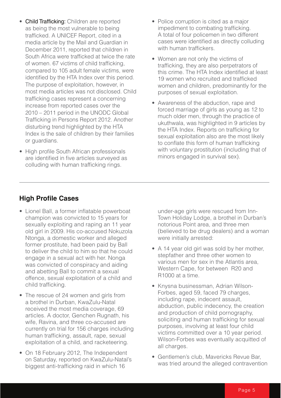- Child Trafficking: Children are reported as being the most vulnerable to being trafficked. A UNICEF Report, cited in a media article by the Mail and Guardian in December 2011, reported that children in South Africa were trafficked at twice the rate of women. 67 victims of child trafficking, compared to 105 adult female victims, were identified by the HTA Index over this period. The purpose of exploitation, however, in most media articles was not disclosed. Child trafficking cases represent a concerning increase from reported cases over the 2010 – 2011 period in the UNODC Global Trafficking in Persons Report 2012. Another disturbing trend highlighted by the HTA Index is the sale of children by their families or guardians.
- High profile South African professionals are identified in five articles surveyed as colluding with human trafficking rings.
- Police corruption is cited as a major impediment to combating trafficking. A total of four policemen in two different cases were identified as directly colluding with human traffickers.
- Women are not only the victims of trafficking, they are also perpetrators of this crime. The HTA Index identified at least 19 women who recruited and trafficked women and children, predominantly for the purposes of sexual exploitation.
- Awareness of the abduction, rape and forced marriage of girls as young as 12 to much older men, through the practice of ukuthwala, was highlighted in 9 articles by the HTA Index. Reports on trafficking for sexual exploitation also are the most likely to conflate this form of human trafficking with voluntary prostitution (including that of minors engaged in survival sex).

#### **High Profile Cases**

- Lionel Ball, a former inflatable powerboat champion was convicted to 15 years for sexually exploiting and raping an 11 year old girl in 2009. His co-accused Nokuzola Ntonga, a domestic worker and alleged former prostitute, had been paid by Ball to deliver the child to him so that he could engage in a sexual act with her. Nonga was convicted of conspiracy and aiding and abetting Ball to commit a sexual offence, sexual exploitation of a child and child trafficking.
- The rescue of 24 women and girls from a brothel in Durban, KwaZulu-Natal received the most media coverage, 69 articles. A doctor, Genchen Rugnath, his wife, Ravina, and three co-accused are currently on trial for 156 charges including human trafficking, assault, rape, sexual exploitation of a child, and racketeering.
- On 18 February 2012, The Independent on Saturday, reported on KwaZulu-Natal's biggest anti-trafficking raid in which 16

under-age girls were rescued from Inn-Town Holiday Lodge, a brothel in Durban's notorious Point area, and three men (believed to be drug dealers) and a woman were initially arrested:

- A 14 year old girl was sold by her mother, stepfather and three other women to various men for sex in the Atlantis area, Western Cape, for between R20 and R1000 at a time.
- Knysna businessman, Adrian Wilson-Forbes, aged 59, faced 79 charges, including rape, indecent assault, abduction, public indecency, the creation and production of child pornography, soliciting and human trafficking for sexual purposes, involving at least four child victims committed over a 10 year period. Wilson-Forbes was eventually acquitted of all charges.
- Gentlemen's club, Mavericks Revue Bar, was tried around the alleged contravention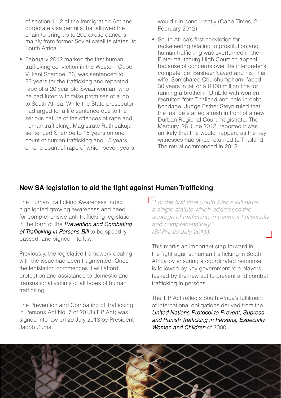of section 11.2 of the Immigration Act and corporate visa permits that allowed the chain to bring up to 200 exotic dancers, mainly from former Soviet satellite states, to South Africa.

• February 2012 marked the first human trafficking conviction in the Western Cape. Vukani Shembe, 36, was sentenced to 23 years for the trafficking and repeated rape of a 20 year old Swazi woman, who he had lured with false promises of a job to South Africa. While the State prosecutor had urged for a life sentence due to the serious nature of the offences of rape and human trafficking, Magistrate Ruth Jakuja sentenced Shembe to 15 years on one count of human trafficking and 15 years on one count of rape of which seven years would run concurrently (Cape Times, 21 February 2012).

• South Africa's first conviction for racketeering relating to prostitution and human trafficking was overturned in the Pietermaritzburg High Court on appeal because of concerns over the interpreter's competence. Basheer Sayed and his Thai wife, Somcharee Chulchumphorn, faced 30 years in jail or a R100 million fine for running a brothel in Umbilo with women recruited from Thailand and held in debt bondage. Judge Esther Steyn ruled that the trial be started afresh in front of a new Durban Regional Court magistrate. The Mercury, 26 June 2012, reported it was unlikely that this would happen, as the key witnesses had since returned to Thailand. The retrial commenced in 2013.

#### **New SA legislation to aid the fight against Human Trafficking**

The Human Trafficking Awareness Index highlighted growing awareness and need for comprehensive anti-trafficking legislation in the form of the **Prevention and Combating** of Trafficking in Persons Bill to be speedily passed, and signed into law.

Previously, the legislative framework dealing with the issue had been fragmented. Once the legislation commences it will afford protection and assistance to domestic and transnational victims of all types of human trafficking.

The Prevention and Combating of Trafficking in Persons Act No. 7 of 2013 (TIP Act) was signed into law on 29 July 2013 by President Jacob Zuma.

For the first time South Africa will have a single statute which addresses the scourge of trafficking in persons holistically and comprehensively." (SAPA, 29 July 2013).

This marks an important step forward in the fight against human trafficking in South Africa by ensuring a coordinated response is followed by key government role players tasked by the new act to prevent and combat trafficking in persons.

The TIP Act reflects South Africa's fulfilment of international obligations derived from the United Nations Protocol to Prevent, Supress and Punish Trafficking in Persons, Especially Women and Children of 2000

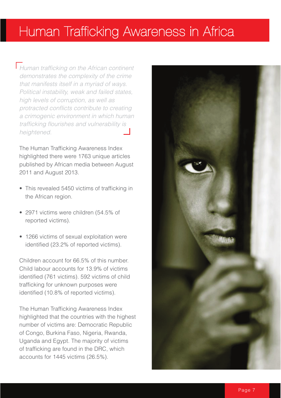#### Human Trafficking Awareness in Africa

Human trafficking on the African continent demonstrates the complexity of the crime that manifests itself in a myriad of ways. Political instability, weak and failed states, high levels of corruption, as well as protracted conflicts contribute to creating a crimogenic environment in which human trafficking flourishes and vulnerability is heightened.

The Human Trafficking Awareness Index highlighted there were 1763 unique articles published by African media between August 2011 and August 2013.

- This revealed 5450 victims of trafficking in the African region.
- $\cdot$  2971 victims were children (54.5% of reported victims).
- 1266 victims of sexual exploitation were identified (23.2% of reported victims).

Children account for 66.5% of this number. Child labour accounts for 13.9% of victims identified (761 victims). 592 victims of child trafficking for unknown purposes were identified (10.8% of reported victims).

The Human Trafficking Awareness Index highlighted that the countries with the highest number of victims are: Democratic Republic of Congo, Burkina Faso, Nigeria, Rwanda, Uganda and Egypt. The majority of victims of trafficking are found in the DRC, which accounts for 1445 victims (26.5%).

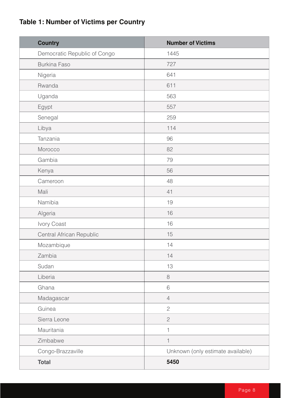#### **Table 1: Number of Victims per Country**

| <b>Country</b>               | <b>Number of Victims</b>          |
|------------------------------|-----------------------------------|
| Democratic Republic of Congo | 1445                              |
| <b>Burkina Faso</b>          | 727                               |
| Nigeria                      | 641                               |
| Rwanda                       | 611                               |
| Uganda                       | 563                               |
| Egypt                        | 557                               |
| Senegal                      | 259                               |
| Libya                        | 114                               |
| Tanzania                     | 96                                |
| Morocco                      | 82                                |
| Gambia                       | 79                                |
| Kenya                        | 56                                |
| Cameroon                     | 48                                |
| Mali                         | 41                                |
| Namibia                      | 19                                |
| Algeria                      | 16                                |
| Ivory Coast                  | 16                                |
| Central African Republic     | 15                                |
| Mozambique                   | 14                                |
| Zambia                       | 14                                |
| Sudan                        | 13                                |
| Liberia                      | $\,8\,$                           |
| Ghana                        | 6                                 |
| Madagascar                   | $\sqrt{4}$                        |
| Guinea                       | $\mathbf{2}$                      |
| Sierra Leone                 | $\sqrt{2}$                        |
| Mauritania                   | $\mathbf{1}$                      |
| Zimbabwe                     | $\mathbf 1$                       |
| Congo-Brazzaville            | Unknown (only estimate available) |
| <b>Total</b>                 | 5450                              |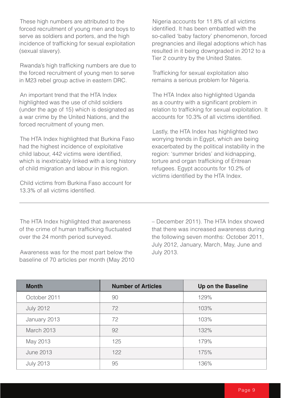These high numbers are attributed to the forced recruitment of young men and boys to serve as soldiers and porters, and the high incidence of trafficking for sexual exploitation (sexual slavery).

Rwanda's high trafficking numbers are due to the forced recruitment of young men to serve in M23 rebel group active in eastern DRC.

An important trend that the HTA Index highlighted was the use of child soldiers (under the age of 15) which is designated as a war crime by the United Nations, and the forced recruitment of young men.

The HTA Index highlighted that Burkina Faso had the highest incidence of exploitative child labour, 442 victims were identified, which is inextricably linked with a long history of child migration and labour in this region.

Child victims from Burkina Faso account for 13.3% of all victims identified.

Nigeria accounts for 11.8% of all victims identified. It has been embattled with the so-called 'baby factory' phenomenon, forced pregnancies and illegal adoptions which has resulted in it being downgraded in 2012 to a Tier 2 country by the United States.

Trafficking for sexual exploitation also remains a serious problem for Nigeria.

The HTA Index also highlighted Uganda as a country with a significant problem in relation to trafficking for sexual exploitation. It accounts for 10.3% of all victims identified.

Lastly, the HTA Index has highlighted two worrying trends in Egypt, which are being exacerbated by the political instability in the region: 'summer brides' and kidnapping, torture and organ trafficking of Eritrean refugees. Egypt accounts for 10.2% of victims identified by the HTA Index.

The HTA Index highlighted that awareness of the crime of human trafficking fluctuated over the 24 month period surveyed.

Awareness was for the most part below the baseline of 70 articles per month (May 2010 – December 2011). The HTA Index showed that there was increased awareness during the following seven months: October 2011, July 2012, January, March, May, June and July 2013.

| <b>Month</b>     | <b>Number of Articles</b> | Up on the Baseline |
|------------------|---------------------------|--------------------|
| October 2011     | 90                        | 129%               |
| <b>July 2012</b> | 72                        | 103%               |
| January 2013     | 72                        | 103%               |
| March 2013       | 92                        | 132%               |
| May 2013         | 125                       | 179%               |
| <b>June 2013</b> | 122                       | 175%               |
| <b>July 2013</b> | 95                        | 136%               |